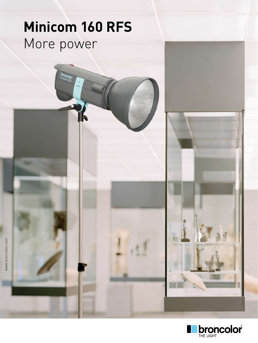## **Minicom 160 RFS**  More power

broncolor